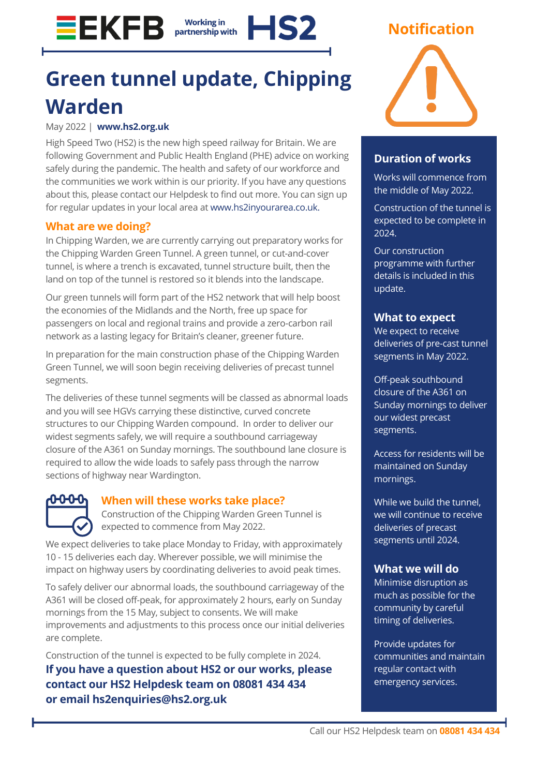### **EEKFB Working in** HS? partnership with

# **Green tunnel update, Chipping Warden**

### May 2022 | **[www.hs2.org.uk](http://www.hs2.org.uk/)**

High Speed Two (HS2) is the new high speed railway for Britain. We are following Government and Public Health England (PHE) advice on working safely during the pandemic. The health and safety of our workforce and the communities we work within is our priority. If you have any questions about this, please contact our Helpdesk to find out more. You can sign up for regular updates in your local area at [www.hs2inyourarea.co.uk.](http://www.hs2inbucksandox.co.uk/)

# **What are we doing?**

In Chipping Warden, we are currently carrying out preparatory works for the Chipping Warden Green Tunnel. A green tunnel, or cut-and-cover tunnel, is where a trench is excavated, tunnel structure built, then the land on top of the tunnel is restored so it blends into the landscape.

Our green tunnels will form part of the HS2 network that will help boost the economies of the Midlands and the North, free up space for passengers on local and regional trains and provide a zero-carbon rail network as a lasting legacy for Britain's cleaner, greener future.

In preparation for the main construction phase of the Chipping Warden Green Tunnel, we will soon begin receiving deliveries of precast tunnel segments.

The deliveries of these tunnel segments will be classed as abnormal loads and you will see HGVs carrying these distinctive, curved concrete structures to our Chipping Warden compound. In order to deliver our widest segments safely, we will require a southbound carriageway closure of the A361 on Sunday mornings. The southbound lane closure is required to allow the wide loads to safely pass through the narrow sections of highway near Wardington.

# ᡐᢗᠦ᠐

# **When will these works take place?**

Construction of the Chipping Warden Green Tunnel is expected to commence from May 2022.

We expect deliveries to take place Monday to Friday, with approximately 10 - 15 deliveries each day. Wherever possible, we will minimise the impact on highway users by coordinating deliveries to avoid peak times.

To safely deliver our abnormal loads, the southbound carriageway of the A361 will be closed off-peak, for approximately 2 hours, early on Sunday mornings from the 15 May, subject to consents. We will make improvements and adjustments to this process once our initial deliveries are complete.

Construction of the tunnel is expected to be fully complete in 2024.

**If you have a question about HS2 or our works, please contact our HS2 Helpdesk team on 08081 434 434 or email hs2enquiries@hs2.org.uk**

# **Notification**

# **Duration of works**

Works will commence from the middle of May 2022.

Construction of the tunnel is expected to be complete in 2024.

Our construction programme with further details is included in this update.

### **What to expect**

We expect to receive deliveries of pre-cast tunnel segments in May 2022.

Off-peak southbound closure of the A361 on Sunday mornings to deliver our widest precast segments.

Access for residents will be maintained on Sunday mornings.

While we build the tunnel, we will continue to receive deliveries of precast segments until 2024.

# **What we will do**

Minimise disruption as much as possible for the community by careful timing of deliveries.

Provide updates for communities and maintain regular contact with emergency services.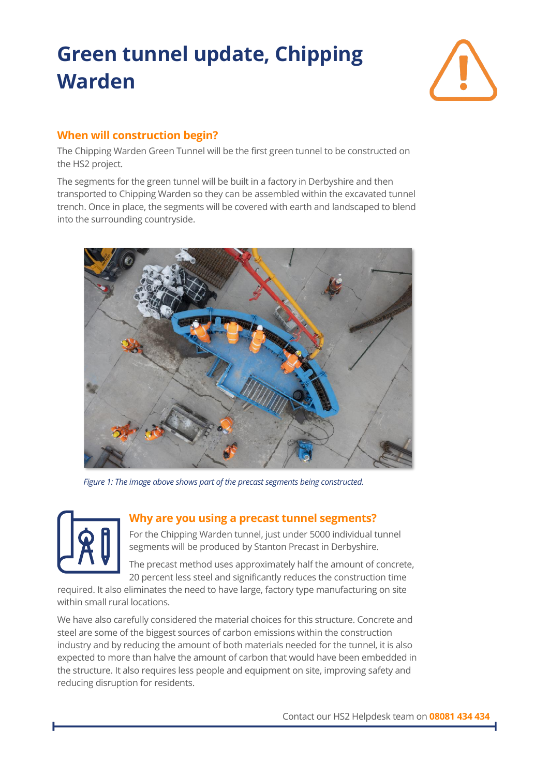

# **When will construction begin?**

The Chipping Warden Green Tunnel will be the first green tunnel to be constructed on the HS2 project.

The segments for the green tunnel will be built in a factory in Derbyshire and then transported to Chipping Warden so they can be assembled within the excavated tunnel trench. Once in place, the segments will be covered with earth and landscaped to blend into the surrounding countryside.



*Figure 1: The image above shows part of the precast segments being constructed.*



### **Why are you using a precast tunnel segments?**

For the Chipping Warden tunnel, just under 5000 individual tunnel segments will be produced by Stanton Precast in Derbyshire.

The precast method uses approximately half the amount of concrete, 20 percent less steel and significantly reduces the construction time

required. It also eliminates the need to have large, factory type manufacturing on site within small rural locations.

We have also carefully considered the material choices for this structure. Concrete and steel are some of the biggest sources of carbon emissions within the construction industry and by reducing the amount of both materials needed for the tunnel, it is also expected to more than halve the amount of carbon that would have been embedded in the structure. It also requires less people and equipment on site, improving safety and reducing disruption for residents.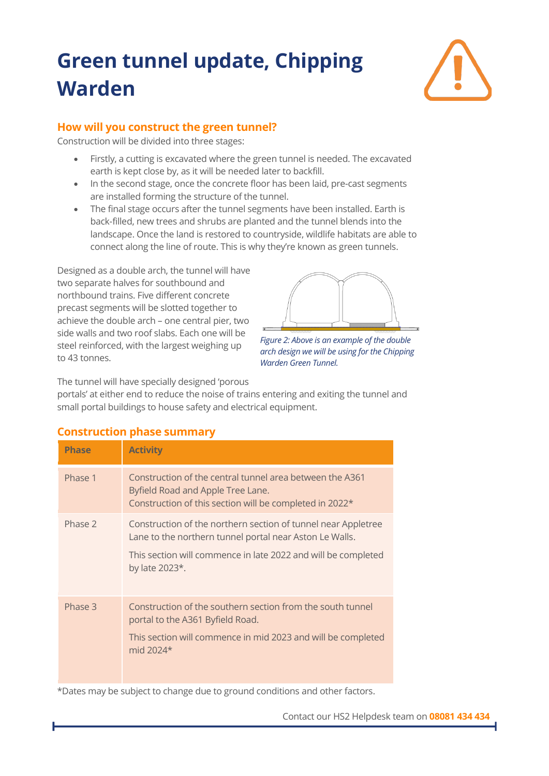

# **How will you construct the green tunnel?**

Construction will be divided into three stages:

- Firstly, a cutting is excavated where the green tunnel is needed. The excavated earth is kept close by, as it will be needed later to backfill.
- In the second stage, once the concrete floor has been laid, pre-cast segments are installed forming the structure of the tunnel.
- The final stage occurs after the tunnel segments have been installed. Earth is back-filled, new trees and shrubs are planted and the tunnel blends into the landscape. Once the land is restored to countryside, wildlife habitats are able to connect along the line of route. This is why they're known as green tunnels.

Designed as a double arch, the tunnel will have two separate halves for southbound and northbound trains. Five different concrete precast segments will be slotted together to achieve the double arch – one central pier, two side walls and two roof slabs. Each one will be steel reinforced, with the largest weighing up to 43 tonnes.



*Figure 2: Above is an example of the double arch design we will be using for the Chipping Warden Green Tunnel.*

The tunnel will have specially designed 'porous

portals' at either end to reduce the noise of trains entering and exiting the tunnel and small portal buildings to house safety and electrical equipment.

| <b>Phase</b> | <b>Activity</b>                                                                                                                                                                                             |
|--------------|-------------------------------------------------------------------------------------------------------------------------------------------------------------------------------------------------------------|
| Phase 1      | Construction of the central tunnel area between the A361<br>Byfield Road and Apple Tree Lane.<br>Construction of this section will be completed in 2022*                                                    |
| Phase 2      | Construction of the northern section of tunnel near Appletree<br>Lane to the northern tunnel portal near Aston Le Walls.<br>This section will commence in late 2022 and will be completed<br>by late 2023*. |
| Phase 3      | Construction of the southern section from the south tunnel<br>portal to the A361 Byfield Road.<br>This section will commence in mid 2023 and will be completed<br>mid 2024*                                 |

# **Construction phase summary**

\*Dates may be subject to change due to ground conditions and other factors.

### Contact our HS2 Helpdesk team on **08081 434 434**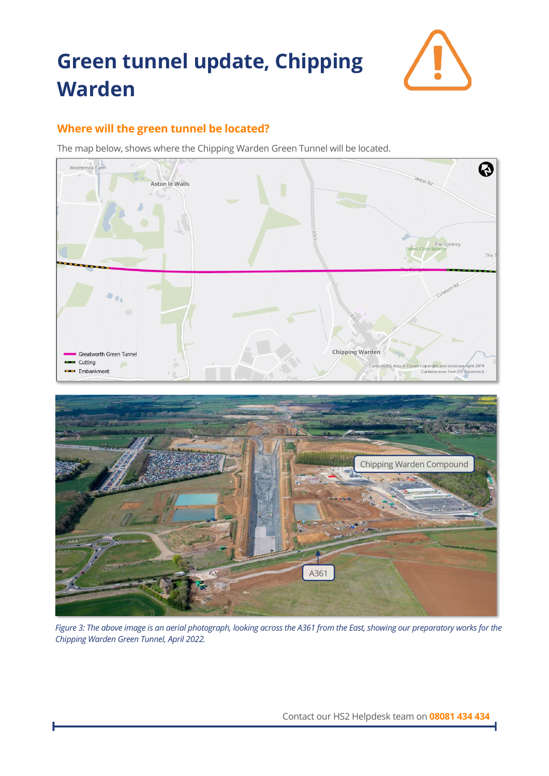

# **Where will the green tunnel be located?**

The map below, shows where the Chipping Warden Green Tunnel will be located.



*Figure 3: The above image is an aerial photograph, looking across the A361 from the East, showing our preparatory works for the Chipping Warden Green Tunnel, April 2022.*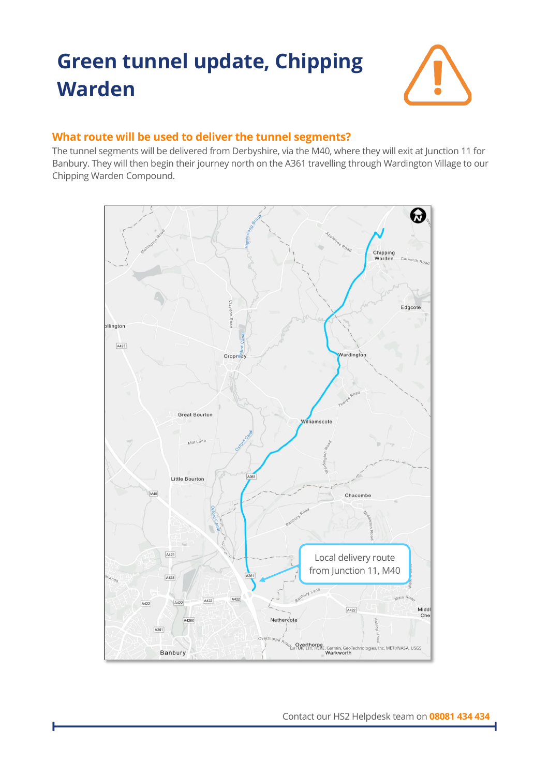

# **What route will be used to deliver the tunnel segments?**

The tunnel segments will be delivered from Derbyshire, via the M40, where they will exit at Junction 11 for Banbury. They will then begin their journey north on the A361 travelling through Wardington Village to our Chipping Warden Compound.



Contact our HS2 Helpdesk team on **08081 434 434**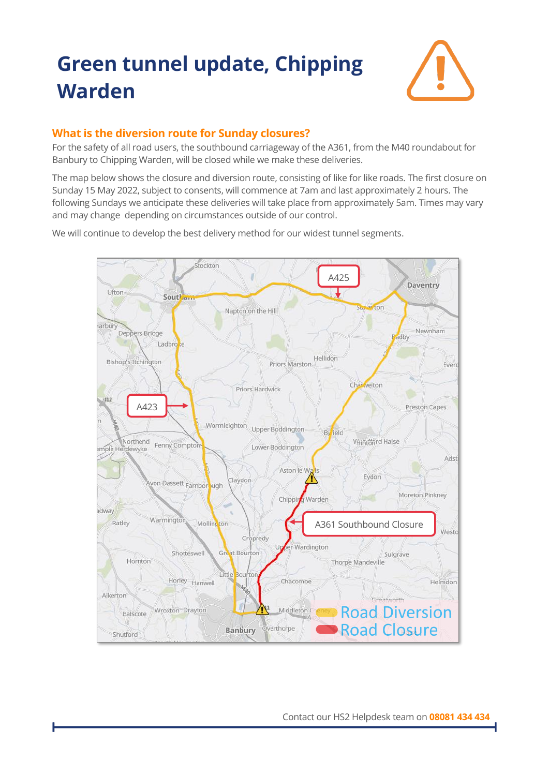

# **What is the diversion route for Sunday closures?**

For the safety of all road users, the southbound carriageway of the A361, from the M40 roundabout for Banbury to Chipping Warden, will be closed while we make these deliveries.

The map below shows the closure and diversion route, consisting of like for like roads. The first closure on Sunday 15 May 2022, subject to consents, will commence at 7am and last approximately 2 hours. The following Sundays we anticipate these deliveries will take place from approximately 5am. Times may vary and may change depending on circumstances outside of our control.

We will continue to develop the best delivery method for our widest tunnel segments.

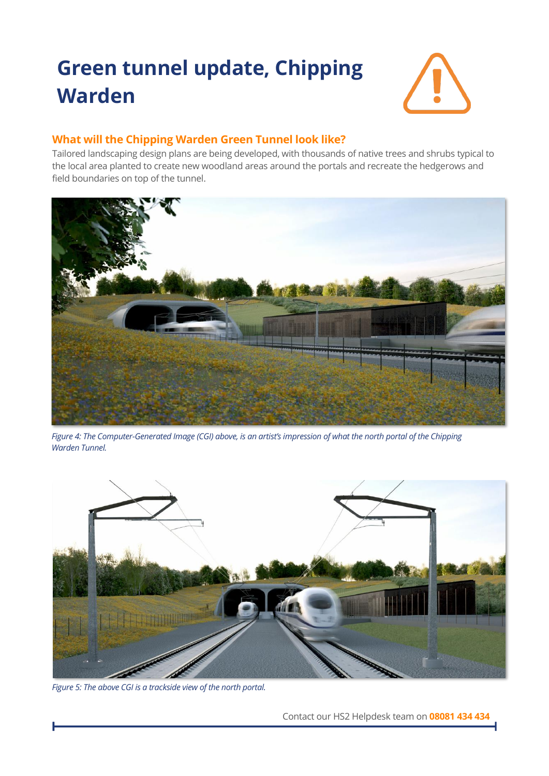

# **What will the Chipping Warden Green Tunnel look like?**

Tailored landscaping design plans are being developed, with thousands of native trees and shrubs typical to the local area planted to create new woodland areas around the portals and recreate the hedgerows and field boundaries on top of the tunnel.



*Figure 4: The Computer-Generated Image (CGI) above, is an artist's impression of what the north portal of the Chipping Warden Tunnel.*



*Figure 5: The above CGI is a trackside view of the north portal.*

Contact our HS2 Helpdesk team on **08081 434 434**